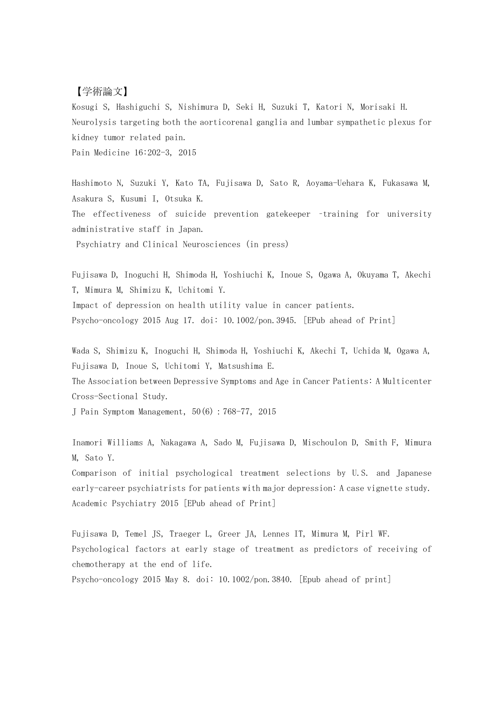## 【学術論文】

Kosugi S, Hashiguchi S, Nishimura D, Seki H, Suzuki T, Katori N, Morisaki H. Neurolysis targeting both the aorticorenal ganglia and lumbar sympathetic plexus for kidney tumor related pain. Pain Medicine 16:202-3, 2015

Hashimoto N, Suzuki Y, Kato TA, Fujisawa D, Sato R, Aoyama-Uehara K, Fukasawa M, Asakura S, Kusumi I, Otsuka K. The effectiveness of suicide prevention gatekeeper –training for university administrative staff in Japan. Psychiatry and Clinical Neurosciences (in press)

Fujisawa D, Inoguchi H, Shimoda H, Yoshiuchi K, Inoue S, Ogawa A, Okuyama T, Akechi T, Mimura M, Shimizu K, Uchitomi Y. Impact of depression on health utility value in cancer patients. Psycho-oncology 2015 Aug 17. doi: 10.1002/pon.3945. [EPub ahead of Print]

Wada S, Shimizu K, Inoguchi H, Shimoda H, Yoshiuchi K, Akechi T, Uchida M, Ogawa A, Fujisawa D, Inoue S, Uchitomi Y, Matsushima E.

The Association between Depressive Symptoms and Age in Cancer Patients: A Multicenter Cross-Sectional Study.

J Pain Symptom Management,50(6):768-77,2015

Inamori Williams A, Nakagawa A, Sado M, Fujisawa D, Mischoulon D, Smith F, Mimura M, Sato Y.

Comparison of initial psychological treatment selections by U.S. and Japanese early-career psychiatrists for patients with major depression: A case vignette study. Academic Psychiatry 2015 [EPub ahead of Print]

Fujisawa D, Temel JS, Traeger L, Greer JA, Lennes IT, Mimura M, Pirl WF. Psychological factors at early stage of treatment as predictors of receiving of chemotherapy at the end of life. Psycho-oncology 2015 May 8. doi: 10.1002/pon.3840. [Epub ahead of print]